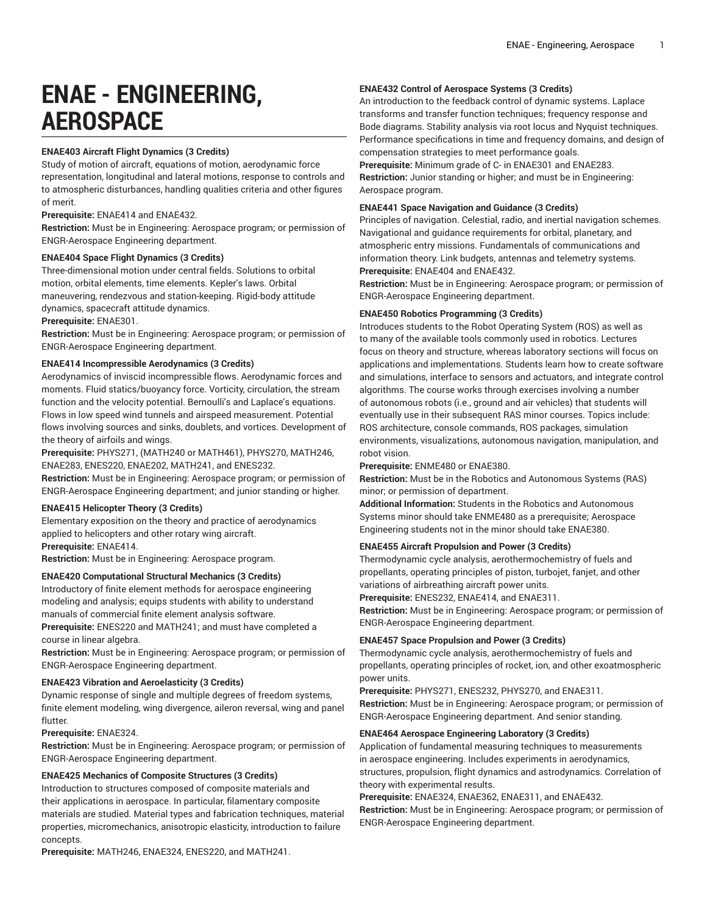# **ENAE - ENGINEERING, AEROSPACE**

# **ENAE403 Aircraft Flight Dynamics (3 Credits)**

Study of motion of aircraft, equations of motion, aerodynamic force representation, longitudinal and lateral motions, response to controls and to atmospheric disturbances, handling qualities criteria and other figures of merit.

**Prerequisite:** ENAE414 and ENAE432.

**Restriction:** Must be in Engineering: Aerospace program; or permission of ENGR-Aerospace Engineering department.

# **ENAE404 Space Flight Dynamics (3 Credits)**

Three-dimensional motion under central fields. Solutions to orbital motion, orbital elements, time elements. Kepler's laws. Orbital maneuvering, rendezvous and station-keeping. Rigid-body attitude dynamics, spacecraft attitude dynamics.

# **Prerequisite:** ENAE301.

**Restriction:** Must be in Engineering: Aerospace program; or permission of ENGR-Aerospace Engineering department.

# **ENAE414 Incompressible Aerodynamics (3 Credits)**

Aerodynamics of inviscid incompressible flows. Aerodynamic forces and moments. Fluid statics/buoyancy force. Vorticity, circulation, the stream function and the velocity potential. Bernoulli's and Laplace's equations. Flows in low speed wind tunnels and airspeed measurement. Potential flows involving sources and sinks, doublets, and vortices. Development of the theory of airfoils and wings.

**Prerequisite:** PHYS271, (MATH240 or MATH461), PHYS270, MATH246, ENAE283, ENES220, ENAE202, MATH241, and ENES232.

**Restriction:** Must be in Engineering: Aerospace program; or permission of ENGR-Aerospace Engineering department; and junior standing or higher.

# **ENAE415 Helicopter Theory (3 Credits)**

Elementary exposition on the theory and practice of aerodynamics applied to helicopters and other rotary wing aircraft.

**Prerequisite:** ENAE414.

**Restriction:** Must be in Engineering: Aerospace program.

# **ENAE420 Computational Structural Mechanics (3 Credits)**

Introductory of finite element methods for aerospace engineering modeling and analysis; equips students with ability to understand manuals of commercial finite element analysis software.

**Prerequisite:** ENES220 and MATH241; and must have completed a course in linear algebra.

**Restriction:** Must be in Engineering: Aerospace program; or permission of ENGR-Aerospace Engineering department.

# **ENAE423 Vibration and Aeroelasticity (3 Credits)**

Dynamic response of single and multiple degrees of freedom systems, finite element modeling, wing divergence, aileron reversal, wing and panel flutter.

# **Prerequisite:** ENAE324.

**Restriction:** Must be in Engineering: Aerospace program; or permission of ENGR-Aerospace Engineering department.

# **ENAE425 Mechanics of Composite Structures (3 Credits)**

Introduction to structures composed of composite materials and their applications in aerospace. In particular, filamentary composite materials are studied. Material types and fabrication techniques, material properties, micromechanics, anisotropic elasticity, introduction to failure concepts.

**Prerequisite:** MATH246, ENAE324, ENES220, and MATH241.

# **ENAE432 Control of Aerospace Systems (3 Credits)**

An introduction to the feedback control of dynamic systems. Laplace transforms and transfer function techniques; frequency response and Bode diagrams. Stability analysis via root locus and Nyquist techniques. Performance specifications in time and frequency domains, and design of compensation strategies to meet performance goals.

**Prerequisite:** Minimum grade of C- in ENAE301 and ENAE283.

**Restriction:** Junior standing or higher; and must be in Engineering: Aerospace program.

# **ENAE441 Space Navigation and Guidance (3 Credits)**

Principles of navigation. Celestial, radio, and inertial navigation schemes. Navigational and guidance requirements for orbital, planetary, and atmospheric entry missions. Fundamentals of communications and information theory. Link budgets, antennas and telemetry systems. **Prerequisite:** ENAE404 and ENAE432.

**Restriction:** Must be in Engineering: Aerospace program; or permission of ENGR-Aerospace Engineering department.

# **ENAE450 Robotics Programming (3 Credits)**

Introduces students to the Robot Operating System (ROS) as well as to many of the available tools commonly used in robotics. Lectures focus on theory and structure, whereas laboratory sections will focus on applications and implementations. Students learn how to create software and simulations, interface to sensors and actuators, and integrate control algorithms. The course works through exercises involving a number of autonomous robots (i.e., ground and air vehicles) that students will eventually use in their subsequent RAS minor courses. Topics include: ROS architecture, console commands, ROS packages, simulation environments, visualizations, autonomous navigation, manipulation, and robot vision.

# **Prerequisite:** ENME480 or ENAE380.

**Restriction:** Must be in the Robotics and Autonomous Systems (RAS) minor; or permission of department.

**Additional Information:** Students in the Robotics and Autonomous Systems minor should take ENME480 as a prerequisite; Aerospace Engineering students not in the minor should take ENAE380.

# **ENAE455 Aircraft Propulsion and Power (3 Credits)**

Thermodynamic cycle analysis, aerothermochemistry of fuels and propellants, operating principles of piston, turbojet, fanjet, and other variations of airbreathing aircraft power units.

**Prerequisite:** ENES232, ENAE414, and ENAE311.

**Restriction:** Must be in Engineering: Aerospace program; or permission of ENGR-Aerospace Engineering department.

# **ENAE457 Space Propulsion and Power (3 Credits)**

Thermodynamic cycle analysis, aerothermochemistry of fuels and propellants, operating principles of rocket, ion, and other exoatmospheric power units.

**Prerequisite:** PHYS271, ENES232, PHYS270, and ENAE311.

**Restriction:** Must be in Engineering: Aerospace program; or permission of ENGR-Aerospace Engineering department. And senior standing.

# **ENAE464 Aerospace Engineering Laboratory (3 Credits)**

Application of fundamental measuring techniques to measurements in aerospace engineering. Includes experiments in aerodynamics, structures, propulsion, flight dynamics and astrodynamics. Correlation of theory with experimental results.

**Prerequisite:** ENAE324, ENAE362, ENAE311, and ENAE432. **Restriction:** Must be in Engineering: Aerospace program; or permission of ENGR-Aerospace Engineering department.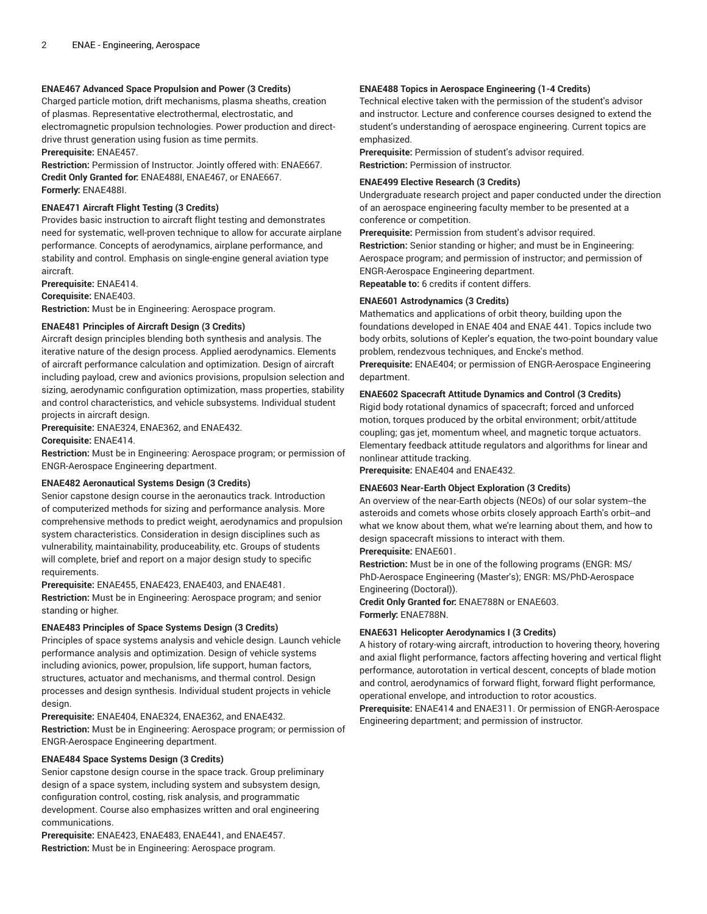# **ENAE467 Advanced Space Propulsion and Power (3 Credits)**

Charged particle motion, drift mechanisms, plasma sheaths, creation of plasmas. Representative electrothermal, electrostatic, and electromagnetic propulsion technologies. Power production and directdrive thrust generation using fusion as time permits. **Prerequisite:** ENAE457.

**Restriction:** Permission of Instructor. Jointly offered with: ENAE667. **Credit Only Granted for:** ENAE488I, ENAE467, or ENAE667. **Formerly:** ENAE488I.

# **ENAE471 Aircraft Flight Testing (3 Credits)**

Provides basic instruction to aircraft flight testing and demonstrates need for systematic, well-proven technique to allow for accurate airplane performance. Concepts of aerodynamics, airplane performance, and stability and control. Emphasis on single-engine general aviation type aircraft.

**Prerequisite:** ENAE414.

**Corequisite:** ENAE403.

**Restriction:** Must be in Engineering: Aerospace program.

# **ENAE481 Principles of Aircraft Design (3 Credits)**

Aircraft design principles blending both synthesis and analysis. The iterative nature of the design process. Applied aerodynamics. Elements of aircraft performance calculation and optimization. Design of aircraft including payload, crew and avionics provisions, propulsion selection and sizing, aerodynamic configuration optimization, mass properties, stability and control characteristics, and vehicle subsystems. Individual student projects in aircraft design.

**Prerequisite:** ENAE324, ENAE362, and ENAE432.

**Corequisite:** ENAE414.

**Restriction:** Must be in Engineering: Aerospace program; or permission of ENGR-Aerospace Engineering department.

#### **ENAE482 Aeronautical Systems Design (3 Credits)**

Senior capstone design course in the aeronautics track. Introduction of computerized methods for sizing and performance analysis. More comprehensive methods to predict weight, aerodynamics and propulsion system characteristics. Consideration in design disciplines such as vulnerability, maintainability, produceability, etc. Groups of students will complete, brief and report on a major design study to specific requirements.

**Prerequisite:** ENAE455, ENAE423, ENAE403, and ENAE481. **Restriction:** Must be in Engineering: Aerospace program; and senior standing or higher.

# **ENAE483 Principles of Space Systems Design (3 Credits)**

Principles of space systems analysis and vehicle design. Launch vehicle performance analysis and optimization. Design of vehicle systems including avionics, power, propulsion, life support, human factors, structures, actuator and mechanisms, and thermal control. Design processes and design synthesis. Individual student projects in vehicle design.

# **Prerequisite:** ENAE404, ENAE324, ENAE362, and ENAE432.

**Restriction:** Must be in Engineering: Aerospace program; or permission of ENGR-Aerospace Engineering department.

# **ENAE484 Space Systems Design (3 Credits)**

Senior capstone design course in the space track. Group preliminary design of a space system, including system and subsystem design, configuration control, costing, risk analysis, and programmatic development. Course also emphasizes written and oral engineering communications.

**Prerequisite:** ENAE423, ENAE483, ENAE441, and ENAE457. **Restriction:** Must be in Engineering: Aerospace program.

#### **ENAE488 Topics in Aerospace Engineering (1-4 Credits)**

Technical elective taken with the permission of the student's advisor and instructor. Lecture and conference courses designed to extend the student's understanding of aerospace engineering. Current topics are emphasized.

**Prerequisite:** Permission of student's advisor required. **Restriction:** Permission of instructor.

#### **ENAE499 Elective Research (3 Credits)**

Undergraduate research project and paper conducted under the direction of an aerospace engineering faculty member to be presented at a conference or competition.

**Prerequisite:** Permission from student's advisor required. **Restriction:** Senior standing or higher; and must be in Engineering: Aerospace program; and permission of instructor; and permission of ENGR-Aerospace Engineering department. **Repeatable to:** 6 credits if content differs.

#### **ENAE601 Astrodynamics (3 Credits)**

Mathematics and applications of orbit theory, building upon the foundations developed in ENAE 404 and ENAE 441. Topics include two body orbits, solutions of Kepler's equation, the two-point boundary value problem, rendezvous techniques, and Encke's method.

**Prerequisite:** ENAE404; or permission of ENGR-Aerospace Engineering department.

#### **ENAE602 Spacecraft Attitude Dynamics and Control (3 Credits)**

Rigid body rotational dynamics of spacecraft; forced and unforced motion, torques produced by the orbital environment; orbit/attitude coupling; gas jet, momentum wheel, and magnetic torque actuators. Elementary feedback attitude regulators and algorithms for linear and nonlinear attitude tracking.

**Prerequisite:** ENAE404 and ENAE432.

# **ENAE603 Near-Earth Object Exploration (3 Credits)**

An overview of the near-Earth objects (NEOs) of our solar system--the asteroids and comets whose orbits closely approach Earth's orbit--and what we know about them, what we're learning about them, and how to design spacecraft missions to interact with them.

# **Prerequisite:** ENAE601.

**Restriction:** Must be in one of the following programs (ENGR: MS/ PhD-Aerospace Engineering (Master's); ENGR: MS/PhD-Aerospace Engineering (Doctoral)).

**Credit Only Granted for:** ENAE788N or ENAE603. **Formerly:** ENAE788N.

#### **ENAE631 Helicopter Aerodynamics I (3 Credits)**

A history of rotary-wing aircraft, introduction to hovering theory, hovering and axial flight performance, factors affecting hovering and vertical flight performance, autorotation in vertical descent, concepts of blade motion and control, aerodynamics of forward flight, forward flight performance, operational envelope, and introduction to rotor acoustics.

**Prerequisite:** ENAE414 and ENAE311. Or permission of ENGR-Aerospace Engineering department; and permission of instructor.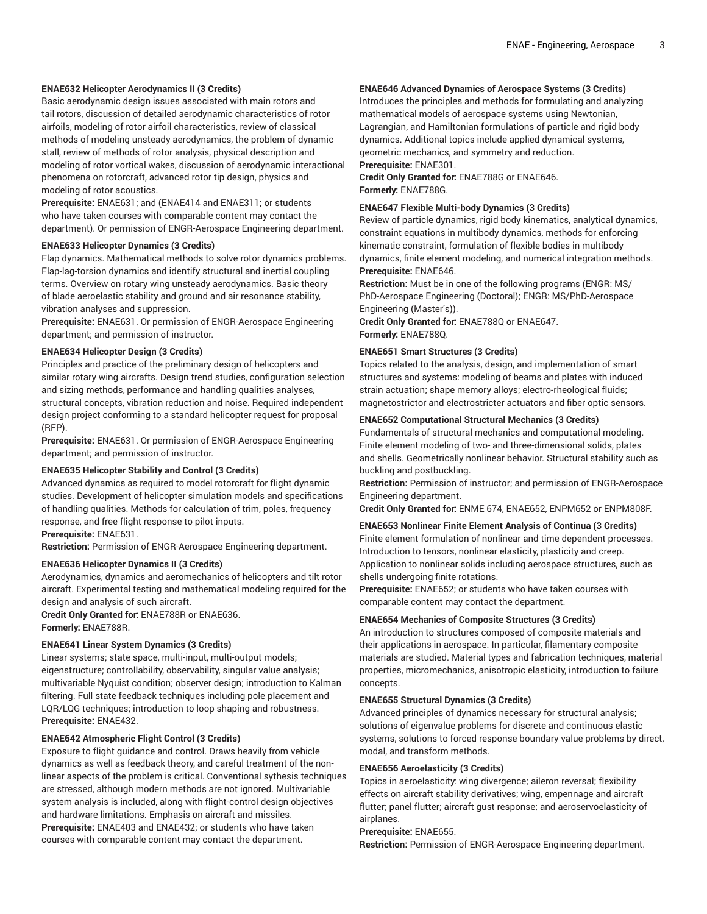# **ENAE632 Helicopter Aerodynamics II (3 Credits)**

Basic aerodynamic design issues associated with main rotors and tail rotors, discussion of detailed aerodynamic characteristics of rotor airfoils, modeling of rotor airfoil characteristics, review of classical methods of modeling unsteady aerodynamics, the problem of dynamic stall, review of methods of rotor analysis, physical description and modeling of rotor vortical wakes, discussion of aerodynamic interactional phenomena on rotorcraft, advanced rotor tip design, physics and modeling of rotor acoustics.

**Prerequisite:** ENAE631; and (ENAE414 and ENAE311; or students who have taken courses with comparable content may contact the department). Or permission of ENGR-Aerospace Engineering department.

# **ENAE633 Helicopter Dynamics (3 Credits)**

Flap dynamics. Mathematical methods to solve rotor dynamics problems. Flap-lag-torsion dynamics and identify structural and inertial coupling terms. Overview on rotary wing unsteady aerodynamics. Basic theory of blade aeroelastic stability and ground and air resonance stability, vibration analyses and suppression.

**Prerequisite:** ENAE631. Or permission of ENGR-Aerospace Engineering department; and permission of instructor.

#### **ENAE634 Helicopter Design (3 Credits)**

Principles and practice of the preliminary design of helicopters and similar rotary wing aircrafts. Design trend studies, configuration selection and sizing methods, performance and handling qualities analyses, structural concepts, vibration reduction and noise. Required independent design project conforming to a standard helicopter request for proposal (RFP).

**Prerequisite:** ENAE631. Or permission of ENGR-Aerospace Engineering department; and permission of instructor.

## **ENAE635 Helicopter Stability and Control (3 Credits)**

Advanced dynamics as required to model rotorcraft for flight dynamic studies. Development of helicopter simulation models and specifications of handling qualities. Methods for calculation of trim, poles, frequency response, and free flight response to pilot inputs. **Prerequisite:** ENAE631.

**Restriction:** Permission of ENGR-Aerospace Engineering department.

#### **ENAE636 Helicopter Dynamics II (3 Credits)**

Aerodynamics, dynamics and aeromechanics of helicopters and tilt rotor aircraft. Experimental testing and mathematical modeling required for the design and analysis of such aircraft.

**Credit Only Granted for:** ENAE788R or ENAE636. **Formerly:** ENAE788R.

# **ENAE641 Linear System Dynamics (3 Credits)**

Linear systems; state space, multi-input, multi-output models; eigenstructure; controllability, observability, singular value analysis; multivariable Nyquist condition; observer design; introduction to Kalman filtering. Full state feedback techniques including pole placement and LQR/LQG techniques; introduction to loop shaping and robustness. **Prerequisite:** ENAE432.

# **ENAE642 Atmospheric Flight Control (3 Credits)**

Exposure to flight guidance and control. Draws heavily from vehicle dynamics as well as feedback theory, and careful treatment of the nonlinear aspects of the problem is critical. Conventional sythesis techniques are stressed, although modern methods are not ignored. Multivariable system analysis is included, along with flight-control design objectives and hardware limitations. Emphasis on aircraft and missiles. **Prerequisite:** ENAE403 and ENAE432; or students who have taken courses with comparable content may contact the department.

# **ENAE646 Advanced Dynamics of Aerospace Systems (3 Credits)**

Introduces the principles and methods for formulating and analyzing mathematical models of aerospace systems using Newtonian, Lagrangian, and Hamiltonian formulations of particle and rigid body dynamics. Additional topics include applied dynamical systems, geometric mechanics, and symmetry and reduction. **Prerequisite:** ENAE301.

**Credit Only Granted for:** ENAE788G or ENAE646. **Formerly:** ENAE788G.

#### **ENAE647 Flexible Multi-body Dynamics (3 Credits)**

Review of particle dynamics, rigid body kinematics, analytical dynamics, constraint equations in multibody dynamics, methods for enforcing kinematic constraint, formulation of flexible bodies in multibody dynamics, finite element modeling, and numerical integration methods. **Prerequisite:** ENAE646.

**Restriction:** Must be in one of the following programs (ENGR: MS/ PhD-Aerospace Engineering (Doctoral); ENGR: MS/PhD-Aerospace Engineering (Master's)).

**Credit Only Granted for:** ENAE788Q or ENAE647. **Formerly:** ENAE788Q.

#### **ENAE651 Smart Structures (3 Credits)**

Topics related to the analysis, design, and implementation of smart structures and systems: modeling of beams and plates with induced strain actuation; shape memory alloys; electro-rheological fluids; magnetostrictor and electrostricter actuators and fiber optic sensors.

#### **ENAE652 Computational Structural Mechanics (3 Credits)**

Fundamentals of structural mechanics and computational modeling. Finite element modeling of two- and three-dimensional solids, plates and shells. Geometrically nonlinear behavior. Structural stability such as buckling and postbuckling.

**Restriction:** Permission of instructor; and permission of ENGR-Aerospace Engineering department.

**Credit Only Granted for:** ENME 674, ENAE652, ENPM652 or ENPM808F.

# **ENAE653 Nonlinear Finite Element Analysis of Continua (3 Credits)** Finite element formulation of nonlinear and time dependent processes. Introduction to tensors, nonlinear elasticity, plasticity and creep. Application to nonlinear solids including aerospace structures, such as shells undergoing finite rotations.

**Prerequisite:** ENAE652; or students who have taken courses with comparable content may contact the department.

#### **ENAE654 Mechanics of Composite Structures (3 Credits)**

An introduction to structures composed of composite materials and their applications in aerospace. In particular, filamentary composite materials are studied. Material types and fabrication techniques, material properties, micromechanics, anisotropic elasticity, introduction to failure concepts.

#### **ENAE655 Structural Dynamics (3 Credits)**

Advanced principles of dynamics necessary for structural analysis; solutions of eigenvalue problems for discrete and continuous elastic systems, solutions to forced response boundary value problems by direct, modal, and transform methods.

# **ENAE656 Aeroelasticity (3 Credits)**

Topics in aeroelasticity: wing divergence; aileron reversal; flexibility effects on aircraft stability derivatives; wing, empennage and aircraft flutter; panel flutter; aircraft gust response; and aeroservoelasticity of airplanes.

# **Prerequisite:** ENAE655.

**Restriction:** Permission of ENGR-Aerospace Engineering department.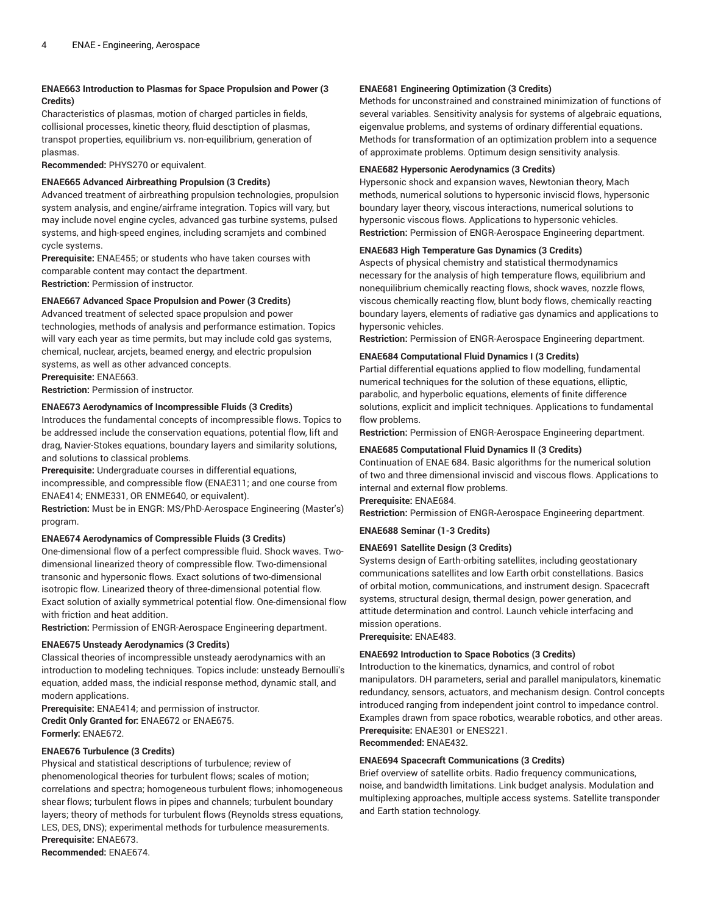# **ENAE663 Introduction to Plasmas for Space Propulsion and Power (3 Credits)**

Characteristics of plasmas, motion of charged particles in fields, collisional processes, kinetic theory, fluid desctiption of plasmas, transpot properties, equilibrium vs. non-equilibrium, generation of plasmas.

**Recommended:** PHYS270 or equivalent.

# **ENAE665 Advanced Airbreathing Propulsion (3 Credits)**

Advanced treatment of airbreathing propulsion technologies, propulsion system analysis, and engine/airframe integration. Topics will vary, but may include novel engine cycles, advanced gas turbine systems, pulsed systems, and high-speed engines, including scramjets and combined cycle systems.

**Prerequisite:** ENAE455; or students who have taken courses with comparable content may contact the department. **Restriction:** Permission of instructor.

# **ENAE667 Advanced Space Propulsion and Power (3 Credits)**

Advanced treatment of selected space propulsion and power technologies, methods of analysis and performance estimation. Topics will vary each year as time permits, but may include cold gas systems, chemical, nuclear, arcjets, beamed energy, and electric propulsion systems, as well as other advanced concepts.

**Prerequisite:** ENAE663.

**Restriction:** Permission of instructor.

# **ENAE673 Aerodynamics of Incompressible Fluids (3 Credits)**

Introduces the fundamental concepts of incompressible flows. Topics to be addressed include the conservation equations, potential flow, lift and drag, Navier-Stokes equations, boundary layers and similarity solutions, and solutions to classical problems.

**Prerequisite:** Undergraduate courses in differential equations, incompressible, and compressible flow (ENAE311; and one course from ENAE414; ENME331, OR ENME640, or equivalent).

**Restriction:** Must be in ENGR: MS/PhD-Aerospace Engineering (Master's) program.

# **ENAE674 Aerodynamics of Compressible Fluids (3 Credits)**

One-dimensional flow of a perfect compressible fluid. Shock waves. Twodimensional linearized theory of compressible flow. Two-dimensional transonic and hypersonic flows. Exact solutions of two-dimensional isotropic flow. Linearized theory of three-dimensional potential flow. Exact solution of axially symmetrical potential flow. One-dimensional flow with friction and heat addition.

**Restriction:** Permission of ENGR-Aerospace Engineering department.

# **ENAE675 Unsteady Aerodynamics (3 Credits)**

Classical theories of incompressible unsteady aerodynamics with an introduction to modeling techniques. Topics include: unsteady Bernoulli's equation, added mass, the indicial response method, dynamic stall, and modern applications.

**Prerequisite:** ENAE414; and permission of instructor. **Credit Only Granted for:** ENAE672 or ENAE675. **Formerly:** ENAE672.

# **ENAE676 Turbulence (3 Credits)**

Physical and statistical descriptions of turbulence; review of phenomenological theories for turbulent flows; scales of motion; correlations and spectra; homogeneous turbulent flows; inhomogeneous shear flows; turbulent flows in pipes and channels; turbulent boundary layers; theory of methods for turbulent flows (Reynolds stress equations, LES, DES, DNS); experimental methods for turbulence measurements. **Prerequisite:** ENAE673. **Recommended:** ENAE674.

# **ENAE681 Engineering Optimization (3 Credits)**

Methods for unconstrained and constrained minimization of functions of several variables. Sensitivity analysis for systems of algebraic equations, eigenvalue problems, and systems of ordinary differential equations. Methods for transformation of an optimization problem into a sequence of approximate problems. Optimum design sensitivity analysis.

# **ENAE682 Hypersonic Aerodynamics (3 Credits)**

Hypersonic shock and expansion waves, Newtonian theory, Mach methods, numerical solutions to hypersonic inviscid flows, hypersonic boundary layer theory, viscous interactions, numerical solutions to hypersonic viscous flows. Applications to hypersonic vehicles. **Restriction:** Permission of ENGR-Aerospace Engineering department.

# **ENAE683 High Temperature Gas Dynamics (3 Credits)**

Aspects of physical chemistry and statistical thermodynamics necessary for the analysis of high temperature flows, equilibrium and nonequilibrium chemically reacting flows, shock waves, nozzle flows, viscous chemically reacting flow, blunt body flows, chemically reacting boundary layers, elements of radiative gas dynamics and applications to hypersonic vehicles.

**Restriction:** Permission of ENGR-Aerospace Engineering department.

# **ENAE684 Computational Fluid Dynamics I (3 Credits)**

Partial differential equations applied to flow modelling, fundamental numerical techniques for the solution of these equations, elliptic, parabolic, and hyperbolic equations, elements of finite difference solutions, explicit and implicit techniques. Applications to fundamental flow problems.

**Restriction:** Permission of ENGR-Aerospace Engineering department.

# **ENAE685 Computational Fluid Dynamics II (3 Credits)**

Continuation of ENAE 684. Basic algorithms for the numerical solution of two and three dimensional inviscid and viscous flows. Applications to internal and external flow problems.

# **Prerequisite:** ENAE684.

**Restriction:** Permission of ENGR-Aerospace Engineering department.

# **ENAE688 Seminar (1-3 Credits)**

# **ENAE691 Satellite Design (3 Credits)**

Systems design of Earth-orbiting satellites, including geostationary communications satellites and low Earth orbit constellations. Basics of orbital motion, communications, and instrument design. Spacecraft systems, structural design, thermal design, power generation, and attitude determination and control. Launch vehicle interfacing and mission operations.

# **Prerequisite:** ENAE483.

# **ENAE692 Introduction to Space Robotics (3 Credits)**

Introduction to the kinematics, dynamics, and control of robot manipulators. DH parameters, serial and parallel manipulators, kinematic redundancy, sensors, actuators, and mechanism design. Control concepts introduced ranging from independent joint control to impedance control. Examples drawn from space robotics, wearable robotics, and other areas. **Prerequisite:** ENAE301 or ENES221. **Recommended:** ENAE432.

# **ENAE694 Spacecraft Communications (3 Credits)**

Brief overview of satellite orbits. Radio frequency communications, noise, and bandwidth limitations. Link budget analysis. Modulation and multiplexing approaches, multiple access systems. Satellite transponder and Earth station technology.